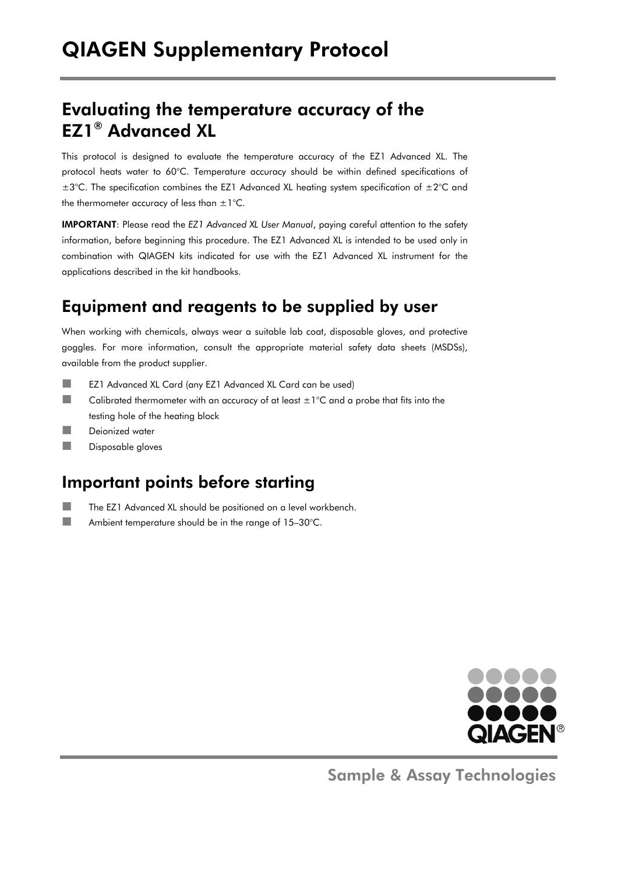## Evaluating the temperature accuracy of the EZ1® Advanced XL

This protocol is designed to evaluate the temperature accuracy of the EZ1 Advanced XL. The protocol heats water to 60°C. Temperature accuracy should be within defined specifications of  $\pm 3^{\circ}$ C. The specification combines the EZ1 Advanced XL heating system specification of  $\pm 2^{\circ}$ C and the thermometer accuracy of less than  $\pm 1^{\circ}$ C.

IMPORTANT: Please read the *EZ1 Advanced XL User Manual*, paying careful attention to the safety information, before beginning this procedure. The EZ1 Advanced XL is intended to be used only in combination with QIAGEN kits indicated for use with the EZ1 Advanced XL instrument for the applications described in the kit handbooks.

### Equipment and reagents to be supplied by user

When working with chemicals, always wear a suitable lab coat, disposable gloves, and protective goggles. For more information, consult the appropriate material safety data sheets (MSDSs), available from the product supplier.

- EZ1 Advanced XL Card (any EZ1 Advanced XL Card can be used)
- Calibrated thermometer with an accuracy of at least  $\pm 1^{\circ}$ C and a probe that fits into the testing hole of the heating block
- Deionized water
- **Disposable gloves**

#### Important points before starting

- The EZ1 Advanced XL should be positioned on a level workbench.
- **Ambient temperature should be in the range of 15-30°C.**



Sample & Assay Technologies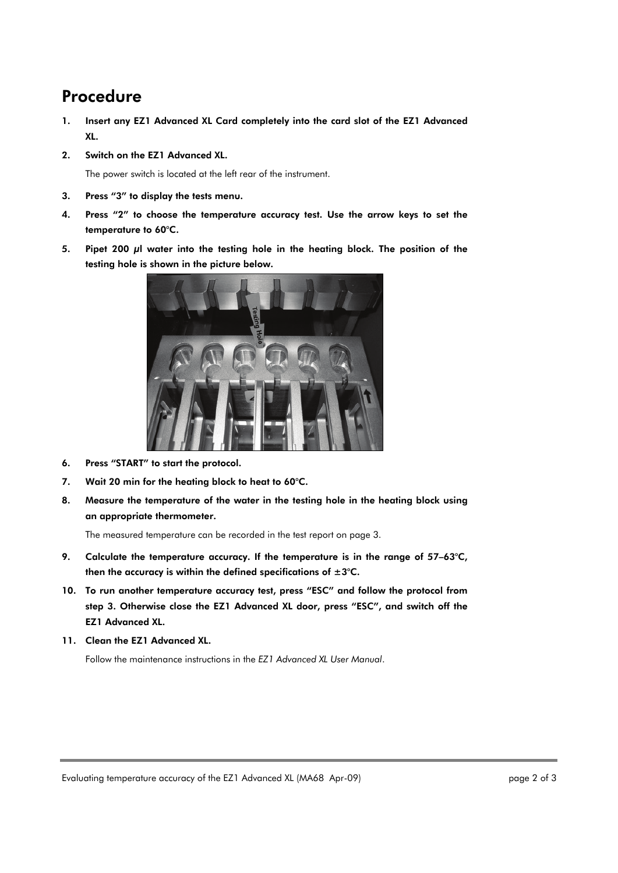#### Procedure

- 1. Insert any EZ1 Advanced XL Card completely into the card slot of the EZ1 Advanced XL.
- 2. Switch on the EZ1 Advanced XL.

The power switch is located at the left rear of the instrument.

- 3. Press "3" to display the tests menu.
- 4. Press "2" to choose the temperature accuracy test. Use the arrow keys to set the temperature to 60°C.
- 5. Pipet 200 μl water into the testing hole in the heating block. The position of the testing hole is shown in the picture below.



- 6. Press "START" to start the protocol.
- 7. Wait 20 min for the heating block to heat to 60°C.
- 8. Measure the temperature of the water in the testing hole in the heating block using an appropriate thermometer.

The measured temperature can be recorded in the test report on page 3.

- 9. Calculate the temperature accuracy. If the temperature is in the range of 57-63°C, then the accuracy is within the defined specifications of  $\pm 3^{\circ}$ C.
- 10. To run another temperature accuracy test, press "ESC" and follow the protocol from step 3. Otherwise close the EZ1 Advanced XL door, press "ESC", and switch off the EZ1 Advanced XL.
- 11. Clean the EZ1 Advanced XL.

Follow the maintenance instructions in the *EZ1 Advanced XL User Manual*.